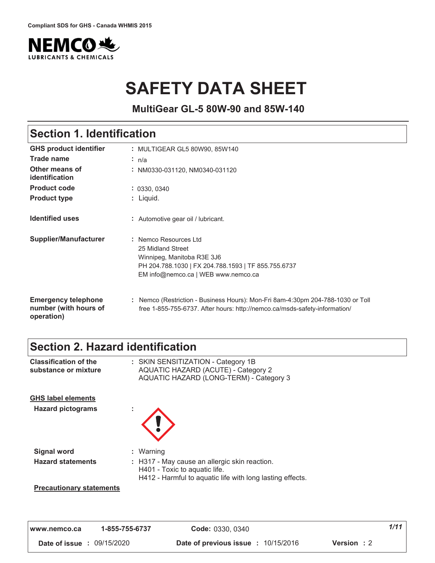

# **SAFETY DATA SHEET**

**MultiGear GL-5 80W-90 and 85W-140**

### **Section 1. Identification**

| <b>GHS product identifier</b>                                     | : MULTIGEAR GL5 80W90, 85W140                                                                                                                                          |
|-------------------------------------------------------------------|------------------------------------------------------------------------------------------------------------------------------------------------------------------------|
| Trade name                                                        | : n/a                                                                                                                                                                  |
| Other means of<br>identification                                  | : NM0330-031120, NM0340-031120                                                                                                                                         |
| <b>Product code</b>                                               | : 0330, 0340                                                                                                                                                           |
| <b>Product type</b>                                               | : Liquid.                                                                                                                                                              |
| <b>Identified uses</b>                                            | : Automotive gear oil / lubricant.                                                                                                                                     |
| <b>Supplier/Manufacturer</b>                                      | : Nemco Resources Ltd<br>25 Midland Street<br>Winnipeg, Manitoba R3E 3J6<br>PH 204.788.1030   FX 204.788.1593   TF 855.755.6737<br>EM info@nemco.ca   WEB www.nemco.ca |
| <b>Emergency telephone</b><br>number (with hours of<br>operation) | : Nemco (Restriction - Business Hours): Mon-Fri 8am-4:30pm 204-788-1030 or Toll<br>free 1-855-755-6737. After hours: http://nemco.ca/msds-safety-information/          |

### **Section 2. Hazard identification**

| <b>Classification of the</b><br>substance or mixture  | : SKIN SENSITIZATION - Category 1B<br><b>AQUATIC HAZARD (ACUTE) - Category 2</b><br>AQUATIC HAZARD (LONG-TERM) - Category 3                 |
|-------------------------------------------------------|---------------------------------------------------------------------------------------------------------------------------------------------|
| <b>GHS label elements</b><br><b>Hazard pictograms</b> |                                                                                                                                             |
| <b>Signal word</b>                                    | : Warning                                                                                                                                   |
| <b>Hazard statements</b>                              | : H317 - May cause an allergic skin reaction.<br>H401 - Toxic to aquatic life.<br>H412 - Harmful to aquatic life with long lasting effects. |
| <b>Precautionary statements</b>                       |                                                                                                                                             |

**)))" "123242 a** *- - - - - - - - - - - - - - - - - - ---*  **#** /5676#/#/  **Date of previous issue : 10/15/2016 Version : 2**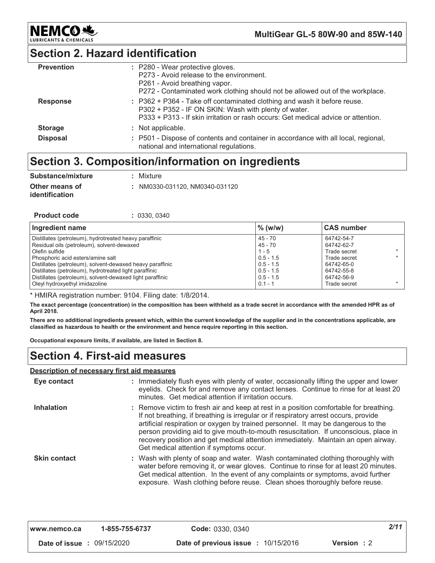

### **Section 2. Hazard identification**

| <b>Prevention</b> | : P280 - Wear protective gloves.<br>P273 - Avoid release to the environment.<br>P261 - Avoid breathing vapor.<br>P272 - Contaminated work clothing should not be allowed out of the workplace.                        |
|-------------------|-----------------------------------------------------------------------------------------------------------------------------------------------------------------------------------------------------------------------|
| <b>Response</b>   | : P362 + P364 - Take off contaminated clothing and wash it before reuse.<br>P302 + P352 - IF ON SKIN: Wash with plenty of water.<br>P333 + P313 - If skin irritation or rash occurs: Get medical advice or attention. |
| <b>Storage</b>    | : Not applicable.                                                                                                                                                                                                     |
| <b>Disposal</b>   | : P501 - Dispose of contents and container in accordance with all local, regional,<br>national and international regulations.                                                                                         |

### **Section 3. Composition/information on ingredients**

| Substance/mixture                       | : Mixture                      |
|-----------------------------------------|--------------------------------|
| Other means of<br><i>identification</i> | : NM0330-031120. NM0340-031120 |

| <b>Product code</b> |  | : 0330, 0340 |  |
|---------------------|--|--------------|--|
|---------------------|--|--------------|--|

| Ingredient name                                           | $\%$ (w/w)  | <b>CAS number</b> |
|-----------------------------------------------------------|-------------|-------------------|
| Distillates (petroleum), hydrotreated heavy paraffinic    | 45 - 70     | 64742-54-7        |
| Residual oils (petroleum), solvent-dewaxed                | 45 - 70     | 64742-62-7        |
| Olefin sulfide                                            | $1 - 5$     | Trade secret      |
| Phosphoric acid esters/amine salt                         | $0.5 - 1.5$ | Trade secret      |
| Distillates (petroleum), solvent-dewaxed heavy paraffinic | $0.5 - 1.5$ | 64742-65-0        |
| Distillates (petroleum), hydrotreated light paraffinic    | $0.5 - 1.5$ | 64742-55-8        |
| Distillates (petroleum), solvent-dewaxed light paraffinic | $0.5 - 1.5$ | 64742-56-9        |
| Oleyl hydroxyethyl imidazoline                            | $0.1 - 1$   | Trade secret      |

\* HMIRA registration number: 9104. Filing date: 1/8/2014.

The exact percentage (concentration) in the composition has been withheld as a trade secret in accordance with the amended HPR as of April 2018.

There are no additional ingredients present which, within the current knowledge of the supplier and in the concentrations applicable, are classified as hazardous to health or the environment and hence require reporting in this section.

Occupational exposure limits, if available, are listed in Section 8.

### **Section 4. First-aid measures**

#### <u>**Description of necessary first aid measures**</u>

| Eye contact         | : Immediately flush eyes with plenty of water, occasionally lifting the upper and lower<br>eyelids. Check for and remove any contact lenses. Continue to rinse for at least 20<br>minutes. Get medical attention if irritation occurs.                                                                                                                                                                                                                                                      |
|---------------------|---------------------------------------------------------------------------------------------------------------------------------------------------------------------------------------------------------------------------------------------------------------------------------------------------------------------------------------------------------------------------------------------------------------------------------------------------------------------------------------------|
| Inhalation          | : Remove victim to fresh air and keep at rest in a position comfortable for breathing.<br>If not breathing, if breathing is irregular or if respiratory arrest occurs, provide<br>artificial respiration or oxygen by trained personnel. It may be dangerous to the<br>person providing aid to give mouth-to-mouth resuscitation. If unconscious, place in<br>recovery position and get medical attention immediately. Maintain an open airway.<br>Get medical attention if symptoms occur. |
| <b>Skin contact</b> | : Wash with plenty of soap and water. Wash contaminated clothing thoroughly with<br>water before removing it, or wear gloves. Continue to rinse for at least 20 minutes.<br>Get medical attention. In the event of any complaints or symptoms, avoid further<br>exposure. Wash clothing before reuse. Clean shoes thoroughly before reuse.                                                                                                                                                  |

| www.nemco.ca                      | 1-855-755-6737 | Code: 0330, 0340                                         | 2/11 |
|-----------------------------------|----------------|----------------------------------------------------------|------|
| <b>Date of issue : 09/15/2020</b> |                | Date of previous issue: 10/15/2016<br><b>Version</b> : 2 |      |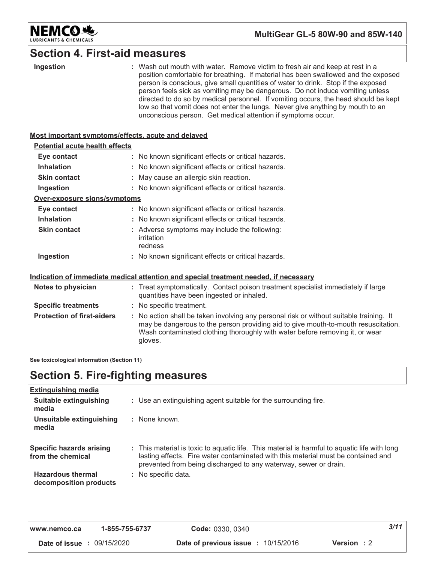

# **Section 4. First-aid measures**

| Ingestion                                          | : Wash out mouth with water. Remove victim to fresh air and keep at rest in a<br>position comfortable for breathing. If material has been swallowed and the exposed<br>person is conscious, give small quantities of water to drink. Stop if the exposed<br>person feels sick as vomiting may be dangerous. Do not induce vomiting unless<br>directed to do so by medical personnel. If vomiting occurs, the head should be kept<br>low so that vomit does not enter the lungs. Never give anything by mouth to an<br>unconscious person. Get medical attention if symptoms occur. |  |  |
|----------------------------------------------------|------------------------------------------------------------------------------------------------------------------------------------------------------------------------------------------------------------------------------------------------------------------------------------------------------------------------------------------------------------------------------------------------------------------------------------------------------------------------------------------------------------------------------------------------------------------------------------|--|--|
| Most important symptoms/effects, acute and delayed |                                                                                                                                                                                                                                                                                                                                                                                                                                                                                                                                                                                    |  |  |
| <b>Potential acute health effects</b>              |                                                                                                                                                                                                                                                                                                                                                                                                                                                                                                                                                                                    |  |  |
| Eye contact                                        | : No known significant effects or critical hazards.                                                                                                                                                                                                                                                                                                                                                                                                                                                                                                                                |  |  |
| <b>Inhalation</b>                                  | : No known significant effects or critical hazards.                                                                                                                                                                                                                                                                                                                                                                                                                                                                                                                                |  |  |
| <b>Skin contact</b>                                | : May cause an allergic skin reaction.                                                                                                                                                                                                                                                                                                                                                                                                                                                                                                                                             |  |  |
| Ingestion                                          | : No known significant effects or critical hazards.                                                                                                                                                                                                                                                                                                                                                                                                                                                                                                                                |  |  |
| Over-exposure signs/symptoms                       |                                                                                                                                                                                                                                                                                                                                                                                                                                                                                                                                                                                    |  |  |
| Eye contact                                        | : No known significant effects or critical hazards.                                                                                                                                                                                                                                                                                                                                                                                                                                                                                                                                |  |  |
| <b>Inhalation</b>                                  | : No known significant effects or critical hazards.                                                                                                                                                                                                                                                                                                                                                                                                                                                                                                                                |  |  |
| <b>Skin contact</b>                                | : Adverse symptoms may include the following:<br>irritation<br>redness                                                                                                                                                                                                                                                                                                                                                                                                                                                                                                             |  |  |
| Ingestion                                          | : No known significant effects or critical hazards.                                                                                                                                                                                                                                                                                                                                                                                                                                                                                                                                |  |  |
|                                                    | Indication of immediate medical attention and special treatment needed, if necessary                                                                                                                                                                                                                                                                                                                                                                                                                                                                                               |  |  |
| Notes to physician                                 | : Treat symptomatically. Contact poison treatment specialist immediately if large<br>quantities have been ingested or inhaled.                                                                                                                                                                                                                                                                                                                                                                                                                                                     |  |  |
| <b>Specific treatments</b>                         | : No specific treatment.                                                                                                                                                                                                                                                                                                                                                                                                                                                                                                                                                           |  |  |
| <b>Protection of first-aiders</b>                  | : No action shall be taken involving any personal risk or without suitable training. It<br>may be dangerous to the person providing aid to give mouth-to-mouth resuscitation.<br>Wash contaminated clothing thoroughly with water before removing it, or wear<br>gloves.                                                                                                                                                                                                                                                                                                           |  |  |

See toxicological information (Section 11)

### **Section 5. Fire-fighting measures**

| <b>Extinguishing media</b>                           |                                                                                                                                                                                                                                                       |
|------------------------------------------------------|-------------------------------------------------------------------------------------------------------------------------------------------------------------------------------------------------------------------------------------------------------|
| Suitable extinguishing<br>media                      | : Use an extinguishing agent suitable for the surrounding fire.                                                                                                                                                                                       |
| Unsuitable extinguishing<br>media                    | : None known.                                                                                                                                                                                                                                         |
| <b>Specific hazards arising</b><br>from the chemical | : This material is toxic to aquatic life. This material is harmful to aquatic life with long<br>lasting effects. Fire water contaminated with this material must be contained and<br>prevented from being discharged to any waterway, sewer or drain. |
| <b>Hazardous thermal</b><br>decomposition products   | : No specific data.                                                                                                                                                                                                                                   |

| l www.nemco.ca                    | 1-855-755-6737 | <b>Code: 0330, 0340</b>                                          | 3/11 |
|-----------------------------------|----------------|------------------------------------------------------------------|------|
| <b>Date of issue : 09/15/2020</b> |                | <b>Date of previous issue : 10/15/2016</b><br><b>Version</b> : 2 |      |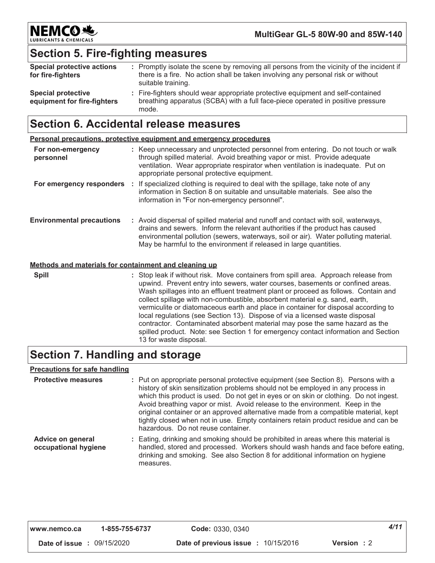

# **Section 5. Fire-fighting measures**

| <b>Special protective actions</b><br>for fire-fighters   | : Promptly isolate the scene by removing all persons from the vicinity of the incident if<br>there is a fire. No action shall be taken involving any personal risk or without<br>suitable training. |
|----------------------------------------------------------|-----------------------------------------------------------------------------------------------------------------------------------------------------------------------------------------------------|
| <b>Special protective</b><br>equipment for fire-fighters | : Fire-fighters should wear appropriate protective equipment and self-contained<br>breathing apparatus (SCBA) with a full face-piece operated in positive pressure<br>mode.                         |

### **Section 6. Accidental release measures**

|                                  | <b>Personal precautions, protective equipment and emergency procedures</b>                                                                                                                                                                                                                                                      |
|----------------------------------|---------------------------------------------------------------------------------------------------------------------------------------------------------------------------------------------------------------------------------------------------------------------------------------------------------------------------------|
| For non-emergency<br>personnel   | : Keep unnecessary and unprotected personnel from entering. Do not touch or walk<br>through spilled material. Avoid breathing vapor or mist. Provide adequate<br>ventilation. Wear appropriate respirator when ventilation is inadequate. Put on<br>appropriate personal protective equipment.                                  |
| For emergency responders         | If specialized clothing is required to deal with the spillage, take note of any<br>information in Section 8 on suitable and unsuitable materials. See also the<br>information in "For non-emergency personnel".                                                                                                                 |
| <b>Environmental precautions</b> | : Avoid dispersal of spilled material and runoff and contact with soil, waterways,<br>drains and sewers. Inform the relevant authorities if the product has caused<br>environmental pollution (sewers, waterways, soil or air). Water polluting material.<br>May be harmful to the environment if released in large quantities. |

#### Methods and materials for containment and cleaning up

**Spill** 

: Stop leak if without risk. Move containers from spill area. Approach release from upwind. Prevent entry into sewers, water courses, basements or confined areas. Wash spillages into an effluent treatment plant or proceed as follows. Contain and collect spillage with non-combustible, absorbent material e.g. sand, earth, vermiculite or diatomaceous earth and place in container for disposal according to local regulations (see Section 13). Dispose of via a licensed waste disposal contractor. Contaminated absorbent material may pose the same hazard as the spilled product. Note: see Section 1 for emergency contact information and Section 13 for waste disposal.

### Section 7. Handling and storage

#### **Precautions for safe handling**

| <b>Protective measures</b>                       | : Put on appropriate personal protective equipment (see Section 8). Persons with a<br>history of skin sensitization problems should not be employed in any process in<br>which this product is used. Do not get in eyes or on skin or clothing. Do not ingest.<br>Avoid breathing vapor or mist. Avoid release to the environment. Keep in the<br>original container or an approved alternative made from a compatible material, kept<br>tightly closed when not in use. Empty containers retain product residue and can be<br>hazardous. Do not reuse container. |
|--------------------------------------------------|-------------------------------------------------------------------------------------------------------------------------------------------------------------------------------------------------------------------------------------------------------------------------------------------------------------------------------------------------------------------------------------------------------------------------------------------------------------------------------------------------------------------------------------------------------------------|
| <b>Advice on general</b><br>occupational hygiene | : Eating, drinking and smoking should be prohibited in areas where this material is<br>handled, stored and processed. Workers should wash hands and face before eating,<br>drinking and smoking. See also Section 8 for additional information on hygiene<br>measures.                                                                                                                                                                                                                                                                                            |

| www.nemco.ca                      | 1-855-755-6737 | Code: 0330, 0340                                                 | 4/11 |
|-----------------------------------|----------------|------------------------------------------------------------------|------|
| <b>Date of issue : 09/15/2020</b> |                | <b>Date of previous issue : 10/15/2016</b><br><b>Version</b> : 2 |      |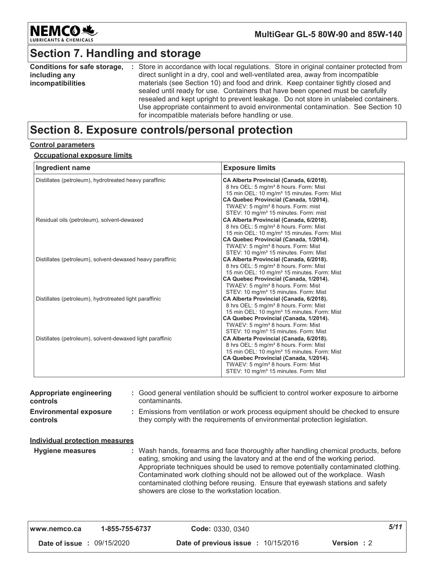

### **Section 7. Handling and storage**

| Conditions for safe storage, | : Store in accordance with local regulations. Store in original container protected from |
|------------------------------|------------------------------------------------------------------------------------------|
| including any                | direct sunlight in a dry, cool and well-ventilated area, away from incompatible          |
| incompatibilities            | materials (see Section 10) and food and drink. Keep container tightly closed and         |
|                              | sealed until ready for use. Containers that have been opened must be carefully           |
|                              | resealed and kept upright to prevent leakage. Do not store in unlabeled containers.      |
|                              | Use appropriate containment to avoid environmental contamination. See Section 10         |
|                              | for incompatible materials before handling or use.                                       |

### **Section 8. Exposure controls/personal protection**

#### **<u>Control parameters</u>**

### <u>**Occupational exposure limits**</u>

| Ingredient name                                           | <b>Exposure limits</b>                                                                                                                                                                                                                                                                                    |
|-----------------------------------------------------------|-----------------------------------------------------------------------------------------------------------------------------------------------------------------------------------------------------------------------------------------------------------------------------------------------------------|
| Distillates (petroleum), hydrotreated heavy paraffinic    | CA Alberta Provincial (Canada, 6/2018).<br>8 hrs OEL: 5 mg/m <sup>3</sup> 8 hours. Form: Mist<br>15 min OEL: 10 mg/m <sup>3</sup> 15 minutes. Form: Mist<br>CA Quebec Provincial (Canada, 1/2014).<br>TWAEV: 5 mg/m <sup>3</sup> 8 hours. Form: mist<br>STEV: 10 mg/m <sup>3</sup> 15 minutes. Form: mist |
| Residual oils (petroleum), solvent-dewaxed                | CA Alberta Provincial (Canada, 6/2018).<br>8 hrs OEL: 5 mg/m <sup>3</sup> 8 hours. Form: Mist<br>15 min OEL: 10 mg/m <sup>3</sup> 15 minutes. Form: Mist<br>CA Quebec Provincial (Canada, 1/2014).<br>TWAEV: 5 mg/m <sup>3</sup> 8 hours. Form: Mist<br>STEV: 10 mg/m <sup>3</sup> 15 minutes. Form: Mist |
| Distillates (petroleum), solvent-dewaxed heavy paraffinic | CA Alberta Provincial (Canada, 6/2018).<br>8 hrs OEL: 5 mg/m <sup>3</sup> 8 hours. Form: Mist<br>15 min OEL: 10 mg/m <sup>3</sup> 15 minutes. Form: Mist<br>CA Quebec Provincial (Canada, 1/2014).<br>TWAEV: 5 mg/m <sup>3</sup> 8 hours. Form: Mist<br>STEV: 10 mg/m <sup>3</sup> 15 minutes. Form: Mist |
| Distillates (petroleum), hydrotreated light paraffinic    | CA Alberta Provincial (Canada, 6/2018).<br>8 hrs OEL: 5 mg/m <sup>3</sup> 8 hours. Form: Mist<br>15 min OEL: 10 mg/m <sup>3</sup> 15 minutes. Form: Mist<br>CA Quebec Provincial (Canada, 1/2014).<br>TWAEV: 5 mg/m <sup>3</sup> 8 hours. Form: Mist<br>STEV: 10 mg/m <sup>3</sup> 15 minutes. Form: Mist |
| Distillates (petroleum), solvent-dewaxed light paraffinic | CA Alberta Provincial (Canada, 6/2018).<br>8 hrs OEL: 5 mg/m <sup>3</sup> 8 hours. Form: Mist<br>15 min OEL: 10 mg/m <sup>3</sup> 15 minutes. Form: Mist<br>CA Quebec Provincial (Canada, 1/2014).<br>TWAEV: 5 mg/m <sup>3</sup> 8 hours. Form: Mist<br>STEV: 10 mg/m <sup>3</sup> 15 minutes. Form: Mist |

| <b>Appropriate engineering</b><br>controls<br><b>Environmental exposure</b><br>controls | : Good general ventilation should be sufficient to control worker exposure to airborne<br>contaminants.<br>: Emissions from ventilation or work process equipment should be checked to ensure<br>they comply with the requirements of environmental protection legislation.                                                                                                                                                                                                 |
|-----------------------------------------------------------------------------------------|-----------------------------------------------------------------------------------------------------------------------------------------------------------------------------------------------------------------------------------------------------------------------------------------------------------------------------------------------------------------------------------------------------------------------------------------------------------------------------|
| Individual protection measures<br><b>Hygiene measures</b>                               | : Wash hands, forearms and face thoroughly after handling chemical products, before<br>eating, smoking and using the lavatory and at the end of the working period.<br>Appropriate techniques should be used to remove potentially contaminated clothing.<br>Contaminated work clothing should not be allowed out of the workplace. Wash<br>contaminated clothing before reusing. Ensure that eyewash stations and safety<br>showers are close to the workstation location. |

| l www.nemco.ca                    | 1-855-755-6737 | Code: 0330, 0340                                                 | 5/11 |
|-----------------------------------|----------------|------------------------------------------------------------------|------|
| <b>Date of issue : 09/15/2020</b> |                | <b>Date of previous issue : 10/15/2016</b><br><b>Version</b> : 2 |      |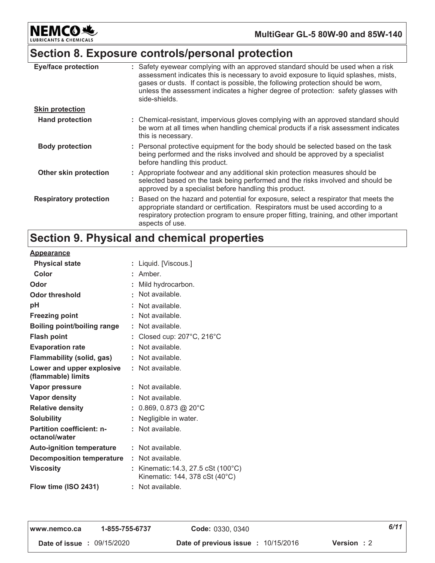**NEMCO头** NTS & CHEMICALS LUBRIC

### MultiGear GL-5 80W-90 and 85W-140

### Section 8. Exposure controls/personal protection

| <b>Eye/face protection</b>    | : Safety eyewear complying with an approved standard should be used when a risk<br>assessment indicates this is necessary to avoid exposure to liquid splashes, mists,<br>gases or dusts. If contact is possible, the following protection should be worn,<br>unless the assessment indicates a higher degree of protection: safety glasses with<br>side-shields. |
|-------------------------------|-------------------------------------------------------------------------------------------------------------------------------------------------------------------------------------------------------------------------------------------------------------------------------------------------------------------------------------------------------------------|
| <b>Skin protection</b>        |                                                                                                                                                                                                                                                                                                                                                                   |
| <b>Hand protection</b>        | : Chemical-resistant, impervious gloves complying with an approved standard should<br>be worn at all times when handling chemical products if a risk assessment indicates<br>this is necessary.                                                                                                                                                                   |
| <b>Body protection</b>        | : Personal protective equipment for the body should be selected based on the task<br>being performed and the risks involved and should be approved by a specialist<br>before handling this product.                                                                                                                                                               |
| Other skin protection         | : Appropriate footwear and any additional skin protection measures should be<br>selected based on the task being performed and the risks involved and should be<br>approved by a specialist before handling this product.                                                                                                                                         |
| <b>Respiratory protection</b> | : Based on the hazard and potential for exposure, select a respirator that meets the<br>appropriate standard or certification. Respirators must be used according to a<br>respiratory protection program to ensure proper fitting, training, and other important<br>aspects of use.                                                                               |

# Section 9. Physical and chemical properties

| <u>Appearance</u>                                 |                                                                     |  |
|---------------------------------------------------|---------------------------------------------------------------------|--|
| <b>Physical state</b>                             | Liquid. [Viscous.]                                                  |  |
| Color                                             | Amber.                                                              |  |
| Odor                                              | Mild hydrocarbon.                                                   |  |
| Odor threshold                                    | Not available.                                                      |  |
| рH                                                | Not available.                                                      |  |
| <b>Freezing point</b>                             | Not available.                                                      |  |
| Boiling point/boiling range                       | Not available.                                                      |  |
| <b>Flash point</b>                                | Closed cup: 207°C, 216°C                                            |  |
| <b>Evaporation rate</b>                           | Not available.<br>÷.                                                |  |
| Flammability (solid, gas)                         | Not available.                                                      |  |
| Lower and upper explosive                         | Not available.                                                      |  |
| (flammable) limits                                |                                                                     |  |
| Vapor pressure                                    | Not available.                                                      |  |
| <b>Vapor density</b>                              | Not available.                                                      |  |
| <b>Relative density</b>                           | 0.869, 0.873 @ 20°C                                                 |  |
| <b>Solubility</b>                                 | Negligible in water.                                                |  |
| <b>Partition coefficient: n-</b><br>octanol/water | Not available.                                                      |  |
| <b>Auto-ignition temperature</b>                  | : Not available.                                                    |  |
| <b>Decomposition temperature</b>                  | Not available.<br>t.                                                |  |
| <b>Viscosity</b>                                  | Kinematic: 14.3, 27.5 cSt (100°C)<br>Kinematic: 144, 378 cSt (40°C) |  |
| Flow time (ISO 2431)                              | Not available.                                                      |  |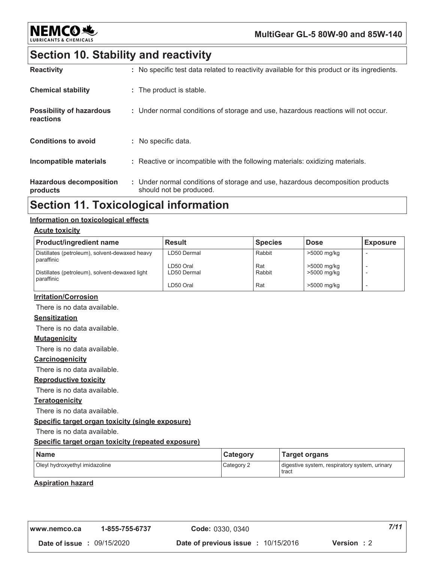

### MultiGear GL-5 80W-90 and 85W-140

### **Section 10. Stability and reactivity**

| <b>Reactivity</b>                            | : No specific test data related to reactivity available for this product or its ingredients.              |
|----------------------------------------------|-----------------------------------------------------------------------------------------------------------|
| <b>Chemical stability</b>                    | : The product is stable.                                                                                  |
| <b>Possibility of hazardous</b><br>reactions | : Under normal conditions of storage and use, hazardous reactions will not occur.                         |
| <b>Conditions to avoid</b>                   | : No specific data.                                                                                       |
| <b>Incompatible materials</b>                | : Reactive or incompatible with the following materials: oxidizing materials.                             |
| <b>Hazardous decomposition</b><br>products   | : Under normal conditions of storage and use, hazardous decomposition products<br>should not be produced. |

### **Section 11. Toxicological information**

#### Information on toxicological effects

#### **Acute toxicity**

| <b>Product/ingredient name</b>                               | <b>Result</b>            | <b>Species</b> | <b>Dose</b>                | <b>Exposure</b> |
|--------------------------------------------------------------|--------------------------|----------------|----------------------------|-----------------|
| Distillates (petroleum), solvent-dewaxed heavy<br>paraffinic | LD50 Dermal              | Rabbit         | >5000 mg/kg                |                 |
| Distillates (petroleum), solvent-dewaxed light<br>paraffinic | LD50 Oral<br>LD50 Dermal | Rat<br>Rabbit  | >5000 mg/kg<br>>5000 mg/kg |                 |
|                                                              | LD50 Oral                | Rat            | >5000 mg/kg                |                 |

#### **Irritation/Corrosion**

There is no data available.

### **Sensitization**

There is no data available.

#### **Mutagenicity**

There is no data available.

#### Carcinogenicity

There is no data available.

#### **Reproductive toxicity**

There is no data available.

#### **Teratogenicity**

There is no data available.

#### Specific target organ toxicity (single exposure)

There is no data available.

#### Specific target organ toxicity (repeated exposure)

| <b>Name</b>                    | <b>Category</b> | <b>Target organs</b>                                   |  |
|--------------------------------|-----------------|--------------------------------------------------------|--|
| Oleyl hydroxyethyl imidazoline | Category 2      | digestive system, respiratory system, urinary<br>tract |  |

#### **Aspiration hazard**

| l www.nemco.ca                    | 1-855-755-6737 | Code: 0330, 0340                           | 7/11        |
|-----------------------------------|----------------|--------------------------------------------|-------------|
| <b>Date of issue : 09/15/2020</b> |                | <b>Date of previous issue : 10/15/2016</b> | Version : 2 |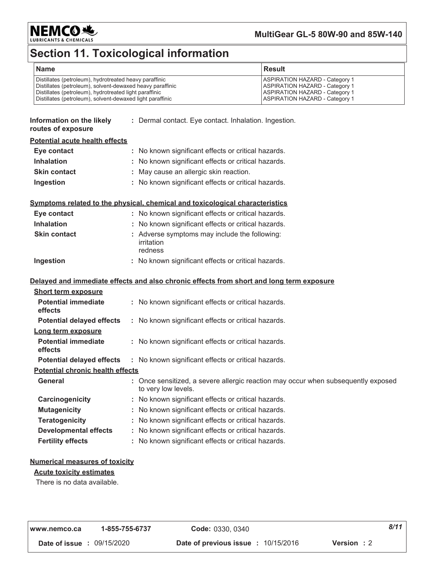

### MultiGear GL-5 80W-90 and 85W-140

# Section 11. Toxicological information

| <b>Name</b>                                               | <b>Result</b>                         |
|-----------------------------------------------------------|---------------------------------------|
| Distillates (petroleum), hydrotreated heavy paraffinic    | <b>ASPIRATION HAZARD - Category 1</b> |
| Distillates (petroleum), solvent-dewaxed heavy paraffinic | <b>ASPIRATION HAZARD - Category 1</b> |
| Distillates (petroleum), hydrotreated light paraffinic    | <b>ASPIRATION HAZARD - Category 1</b> |
| Distillates (petroleum), solvent-dewaxed light paraffinic | <b>ASPIRATION HAZARD - Category 1</b> |

| Information on the likely<br>routes of exposure | : Dermal contact. Eye contact. Inhalation. Ingestion.                                                    |
|-------------------------------------------------|----------------------------------------------------------------------------------------------------------|
| <b>Potential acute health effects</b>           |                                                                                                          |
| Eye contact                                     | : No known significant effects or critical hazards.                                                      |
| <b>Inhalation</b>                               | : No known significant effects or critical hazards.                                                      |
| <b>Skin contact</b>                             | : May cause an allergic skin reaction.                                                                   |
| Ingestion                                       | : No known significant effects or critical hazards.                                                      |
|                                                 | Symptoms related to the physical, chemical and toxicological characteristics                             |
| Eye contact                                     | : No known significant effects or critical hazards.                                                      |
| <b>Inhalation</b>                               | : No known significant effects or critical hazards.                                                      |
| <b>Skin contact</b>                             | : Adverse symptoms may include the following:<br>irritation<br>redness                                   |
| Ingestion                                       | : No known significant effects or critical hazards.                                                      |
|                                                 | Delayed and immediate effects and also chronic effects from short and long term exposure                 |
| <b>Short term exposure</b>                      |                                                                                                          |
| <b>Potential immediate</b><br>effects           | : No known significant effects or critical hazards.                                                      |
| <b>Potential delayed effects</b>                | : No known significant effects or critical hazards.                                                      |
| Long term exposure                              |                                                                                                          |
| <b>Potential immediate</b><br>effects           | : No known significant effects or critical hazards.                                                      |
| <b>Potential delayed effects</b>                | : No known significant effects or critical hazards.                                                      |
| <b>Potential chronic health effects</b>         |                                                                                                          |
| <b>General</b>                                  | : Once sensitized, a severe allergic reaction may occur when subsequently exposed<br>to very low levels. |
| Carcinogenicity                                 | : No known significant effects or critical hazards.                                                      |
| <b>Mutagenicity</b>                             | : No known significant effects or critical hazards.                                                      |
| <b>Teratogenicity</b>                           | : No known significant effects or critical hazards.                                                      |
| <b>Developmental effects</b>                    | : No known significant effects or critical hazards.                                                      |
| <b>Fertility effects</b>                        | : No known significant effects or critical hazards.                                                      |
|                                                 |                                                                                                          |

### **Numerical measures of toxicity**

#### **Acute toxicity estimates**

There is no data available.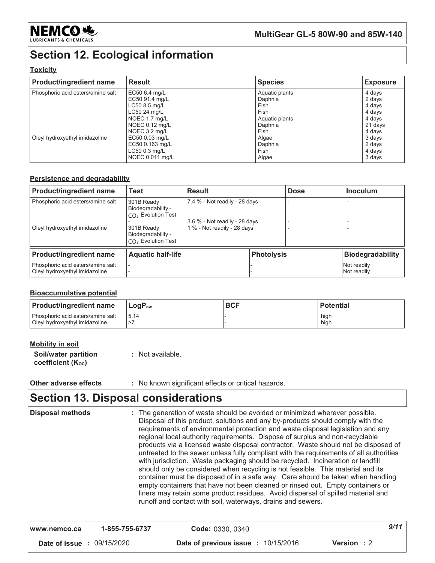

# **Section 12. Ecological information**

#### **Toxicity**

| <b>Product/ingredient name</b>    | <b>Result</b>   | <b>Species</b> | <b>Exposure</b> |
|-----------------------------------|-----------------|----------------|-----------------|
| Phosphoric acid esters/amine salt | EC50 6.4 mg/L   | Aquatic plants | 4 days          |
|                                   | EC50 91.4 mg/L  | Daphnia        | 2 days          |
|                                   | LC50 8.5 mg/L   | Fish           | 4 days          |
|                                   | LC50 24 mg/L    | Fish           | 4 days          |
|                                   | NOEC 1.7 mg/L   | Aquatic plants | 4 days          |
|                                   | NOEC 0.12 mg/L  | Daphnia        | 21 days         |
|                                   | NOEC 3.2 mg/L   | Fish           | 4 days          |
| Oleyl hydroxyethyl imidazoline    | EC50 0.03 mg/L  | Algae          | 3 days          |
|                                   | EC50 0.163 mg/L | Daphnia        | 2 days          |
|                                   | LC50 0.3 mg/L   | Fish           | 4 days          |
|                                   | NOEC 0.011 mg/L | Algae          | 3 days          |

#### **Persistence and degradability**

| <b>Product/ingredient name</b>                                      | <b>Test</b><br><b>Result</b>                                                                                                             |                                                                                               |                   | <b>Dose</b> | <b>Inoculum</b>            |
|---------------------------------------------------------------------|------------------------------------------------------------------------------------------------------------------------------------------|-----------------------------------------------------------------------------------------------|-------------------|-------------|----------------------------|
| Phosphoric acid esters/amine salt<br>Oleyl hydroxyethyl imidazoline | 301B Ready<br>Biodegradability -<br>CO <sub>2</sub> Evolution Test<br>301B Ready<br>Biodegradability -<br>CO <sub>2</sub> Evolution Test | 7.4 % - Not readily - 28 days<br>3.6 % - Not readily - 28 days<br>1 % - Not readily - 28 days |                   |             |                            |
| <b>Product/ingredient name</b>                                      | <b>Aquatic half-life</b>                                                                                                                 |                                                                                               | <b>Photolysis</b> |             | <b>Biodegradability</b>    |
| Phosphoric acid esters/amine salt<br>Oleyl hydroxyethyl imidazoline |                                                                                                                                          |                                                                                               |                   |             | Not readily<br>Not readily |

#### **Bioaccumulative potential**

| <b>Product/ingredient name</b>                                        | $LogP_{ow}$ | <b>BCF</b> | <b>Potential</b> |
|-----------------------------------------------------------------------|-------------|------------|------------------|
| l Phosphoric acid esters/amine salt<br>Oleyl hydroxyethyl imidazoline | 15.14       |            | high<br>hiah     |

| <b>Mobility in soil</b> |  |  |
|-------------------------|--|--|
|                         |  |  |

Soil/water partition coefficient (Koc)

: Not available.

#### Other adverse effects : No known significant effects or critical hazards.

### **Section 13. Disposal considerations**

| <b>Disposal methods</b> |                | : The generation of waste should be avoided or minimized wherever possible.<br>Disposal of this product, solutions and any by-products should comply with the<br>requirements of environmental protection and waste disposal legislation and any<br>regional local authority requirements. Dispose of surplus and non-recyclable<br>products via a licensed waste disposal contractor. Waste should not be disposed of<br>untreated to the sewer unless fully compliant with the requirements of all authorities<br>with jurisdiction. Waste packaging should be recycled. Incineration or landfill<br>should only be considered when recycling is not feasible. This material and its<br>container must be disposed of in a safe way. Care should be taken when handling<br>empty containers that have not been cleaned or rinsed out. Empty containers or<br>liners may retain some product residues. Avoid dispersal of spilled material and<br>runoff and contact with soil, waterways, drains and sewers. |      |
|-------------------------|----------------|----------------------------------------------------------------------------------------------------------------------------------------------------------------------------------------------------------------------------------------------------------------------------------------------------------------------------------------------------------------------------------------------------------------------------------------------------------------------------------------------------------------------------------------------------------------------------------------------------------------------------------------------------------------------------------------------------------------------------------------------------------------------------------------------------------------------------------------------------------------------------------------------------------------------------------------------------------------------------------------------------------------|------|
| www.nemco.ca            | 1-855-755-6737 | <b>Code: 0330, 0340</b>                                                                                                                                                                                                                                                                                                                                                                                                                                                                                                                                                                                                                                                                                                                                                                                                                                                                                                                                                                                        | 9/11 |

Date of issue : 09/15/2020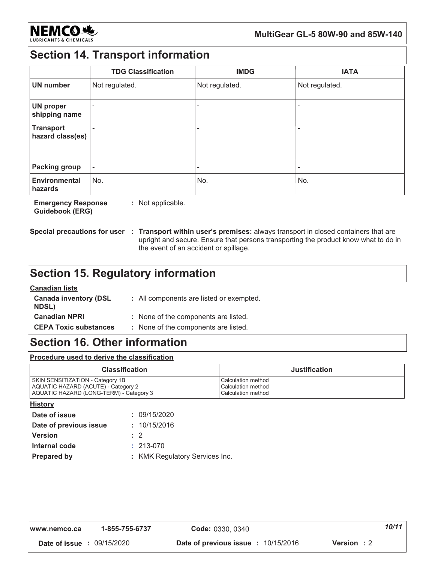

# **Section 14. Transport information**

|                                      | <b>TDG Classification</b> | <b>IMDG</b>              | <b>IATA</b>    |
|--------------------------------------|---------------------------|--------------------------|----------------|
| <b>UN number</b>                     | Not regulated.            | Not regulated.           | Not regulated. |
| <b>UN proper</b><br>shipping name    |                           | $\overline{\phantom{a}}$ |                |
| <b>Transport</b><br>hazard class(es) |                           | ۰                        |                |
| <b>Packing group</b>                 | $\overline{\phantom{a}}$  | ۰                        | ٠              |
| <b>Environmental</b><br>hazards      | No.                       | No.                      | No.            |

**Emergency Response** : Not applicable. **Guidebook (ERG)** 

Special precautions for user : Transport within user's premises: always transport in closed containers that are upright and secure. Ensure that persons transporting the product know what to do in the event of an accident or spillage.

### **Section 15. Regulatory information**

### **Canadian lists**

| <b>Canada inventory (DSL</b><br><b>NDSL)</b> | : All components are listed or exempted. |
|----------------------------------------------|------------------------------------------|
| <b>Canadian NPRI</b>                         | : None of the components are listed.     |
| <b>CEPA Toxic substances</b>                 | : None of the components are listed.     |

### **Section 16. Other information**

Procedure used to derive the classification

| <b>Classification</b>                   | <b>Justification</b>      |
|-----------------------------------------|---------------------------|
| SKIN SENSITIZATION - Category 1B        | <b>Calculation method</b> |
| AQUATIC HAZARD (ACUTE) - Category 2     | <b>Calculation method</b> |
| AQUATIC HAZARD (LONG-TERM) - Category 3 | <b>Calculation method</b> |

#### **History**

| Date of issue          |           | : 09/15/2020                   |
|------------------------|-----------|--------------------------------|
| Date of previous issue |           | : 10/15/2016                   |
| <b>Version</b>         | $\cdot$ 2 |                                |
| Internal code          |           | $: 213-070$                    |
| <b>Prepared by</b>     |           | : KMK Regulatory Services Inc. |

| www.nemco.ca                      | 1-855-755-6737 | Code: 0330, 0340                           | 10/11      |  |
|-----------------------------------|----------------|--------------------------------------------|------------|--|
| <b>Date of issue : 09/15/2020</b> |                | <b>Date of previous issue : 10/15/2016</b> | Version: 2 |  |